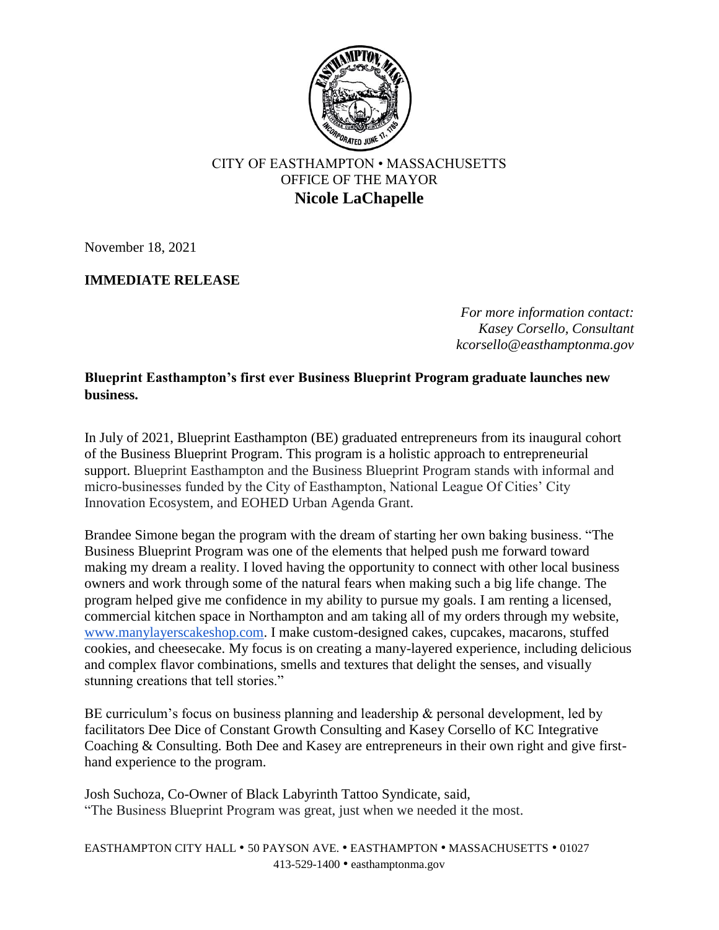

## CITY OF EASTHAMPTON • MASSACHUSETTS OFFICE OF THE MAYOR **Nicole LaChapelle**

November 18, 2021

## **IMMEDIATE RELEASE**

*For more information contact: Kasey Corsello, Consultant kcorsello@easthamptonma.gov*

**Blueprint Easthampton's first ever Business Blueprint Program graduate launches new business.**

In July of 2021, Blueprint Easthampton (BE) graduated entrepreneurs from its inaugural cohort of the Business Blueprint Program. This program is a holistic approach to entrepreneurial support. Blueprint Easthampton and the Business Blueprint Program stands with informal and micro-businesses funded by the City of Easthampton, National League Of Cities' City Innovation Ecosystem, and EOHED Urban Agenda Grant.

Brandee Simone began the program with the dream of starting her own baking business. "The Business Blueprint Program was one of the elements that helped push me forward toward making my dream a reality. I loved having the opportunity to connect with other local business owners and work through some of the natural fears when making such a big life change. The program helped give me confidence in my ability to pursue my goals. I am renting a licensed, commercial kitchen space in Northampton and am taking all of my orders through my website[,](http://www.manylayerscakeshop.com/) [www.manylayerscakeshop.com.](http://www.manylayerscakeshop.com/) I make custom-designed cakes, cupcakes, macarons, stuffed cookies, and cheesecake. My focus is on creating a many-layered experience, including delicious and complex flavor combinations, smells and textures that delight the senses, and visually stunning creations that tell stories."

BE curriculum's focus on business planning and leadership & personal development, led by facilitators Dee Dice of Constant Growth Consulting and Kasey Corsello of KC Integrative Coaching & Consulting. Both Dee and Kasey are entrepreneurs in their own right and give firsthand experience to the program.

Josh Suchoza, Co-Owner of Black Labyrinth Tattoo Syndicate, said, "The Business Blueprint Program was great, just when we needed it the most.

EASTHAMPTON CITY HALL • 50 PAYSON AVE. • EASTHAMPTON • MASSACHUSETTS • 01027 413-529-1400 • easthamptonma.gov